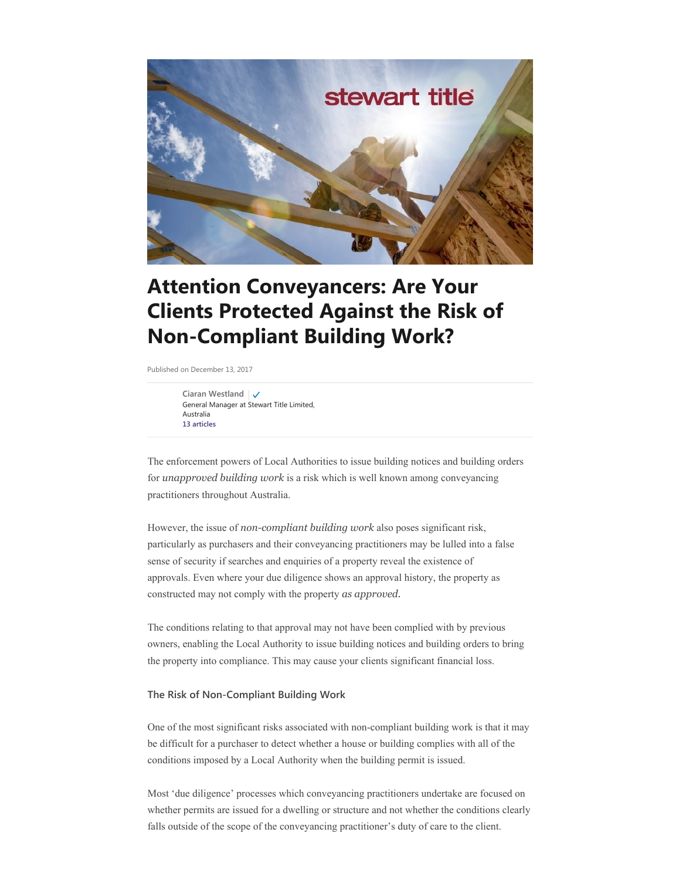

# **Attention Conveyancers: Are Your Clients Protected Against the Risk of Non-Compliant Building Work?**

Published on December 13, 2017

**[Ciaran Westland](https://www.linkedin.com/in/ciaran-westland-69432b30/)** General Manager at Stewart Title Limited, Australia **[13 articles](https://www.linkedin.com/in/ciaran-westland-69432b30/detail/recent-activity/posts/)**

The enforcement powers of Local Authorities to issue building notices and building orders for *unapproved building work* is a risk which is well known among conveyancing practitioners throughout Australia.

However, the issue of *non-compliant building work* also poses significant risk, particularly as purchasers and their conveyancing practitioners may be lulled into a false sense of security if searches and enquiries of a property reveal the existence of approvals. Even where your due diligence shows an approval history, the property as constructed may not comply with the property *as approved.*

The conditions relating to that approval may not have been complied with by previous owners, enabling the Local Authority to issue building notices and building orders to bring the property into compliance. This may cause your clients significant financial loss.

## **The Risk of Non-Compliant Building Work**

One of the most significant risks associated with non-compliant building work is that it may be difficult for a purchaser to detect whether a house or building complies with all of the conditions imposed by a Local Authority when the building permit is issued.

Most 'due diligence' processes which conveyancing practitioners undertake are focused on whether permits are issued for a dwelling or structure and not whether the conditions clearly falls outside of the scope of the conveyancing practitioner's duty of care to the client.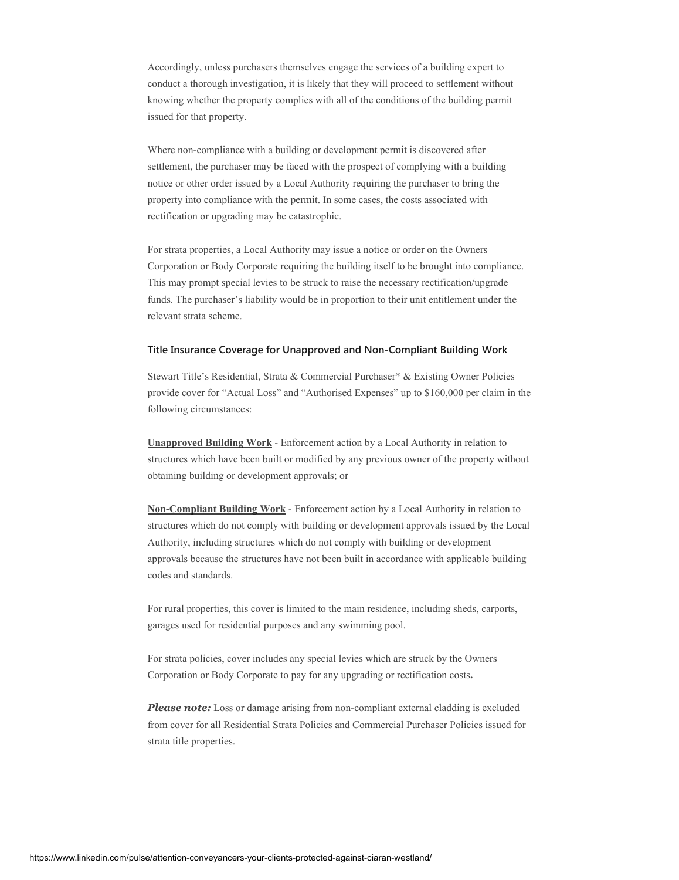Accordingly, unless purchasers themselves engage the services of a building expert to conduct a thorough investigation, it is likely that they will proceed to settlement without knowing whether the property complies with all of the conditions of the building permit issued for that property.

Where non-compliance with a building or development permit is discovered after settlement, the purchaser may be faced with the prospect of complying with a building notice or other order issued by a Local Authority requiring the purchaser to bring the property into compliance with the permit. In some cases, the costs associated with rectification or upgrading may be catastrophic.

For strata properties, a Local Authority may issue a notice or order on the Owners Corporation or Body Corporate requiring the building itself to be brought into compliance. This may prompt special levies to be struck to raise the necessary rectification/upgrade funds. The purchaser's liability would be in proportion to their unit entitlement under the relevant strata scheme.

### **Title Insurance Coverage for Unapproved and Non-Compliant Building Work**

Stewart Title's Residential, Strata & Commercial Purchaser\* & Existing Owner Policies provide cover for "Actual Loss" and "Authorised Expenses" up to \$160,000 per claim in the following circumstances:

**Unapproved Building Work** - Enforcement action by a Local Authority in relation to structures which have been built or modified by any previous owner of the property without obtaining building or development approvals; or

**Non-Compliant Building Work** - Enforcement action by a Local Authority in relation to structures which do not comply with building or development approvals issued by the Local Authority, including structures which do not comply with building or development approvals because the structures have not been built in accordance with applicable building codes and standards.

For rural properties, this cover is limited to the main residence, including sheds, carports, garages used for residential purposes and any swimming pool.

For strata policies, cover includes any special levies which are struck by the Owners Corporation or Body Corporate to pay for any upgrading or rectification costs**.**

*Please note:* Loss or damage arising from non-compliant external cladding is excluded from cover for all Residential Strata Policies and Commercial Purchaser Policies issued for strata title properties.